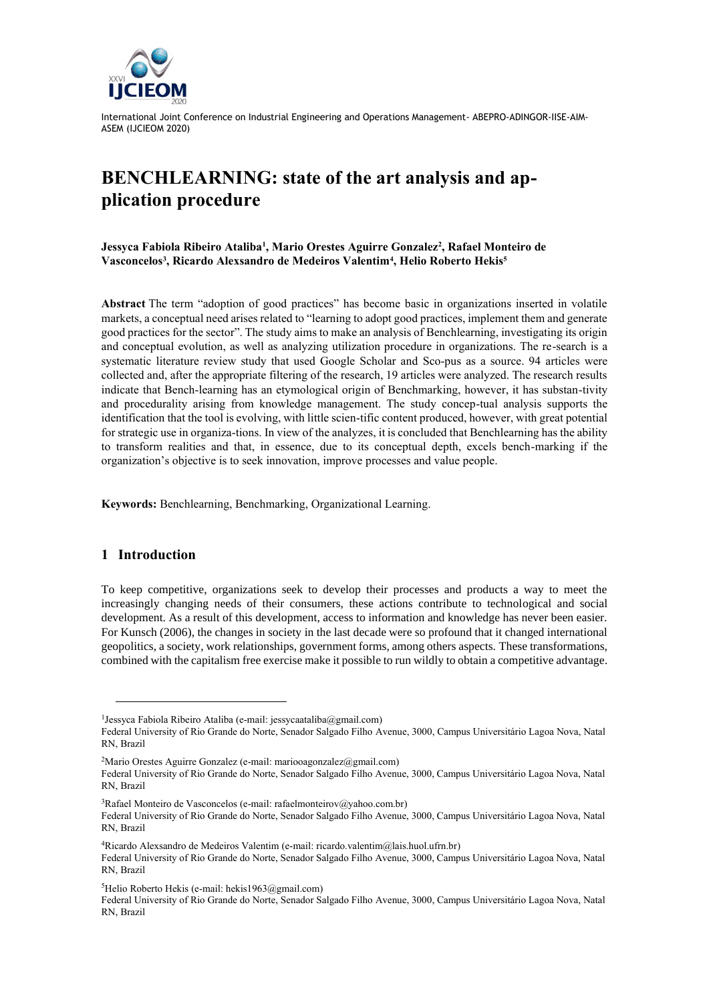

# **BENCHLEARNING: state of the art analysis and application procedure**

**Jessyca Fabiola Ribeiro Ataliba<sup>1</sup> , Mario Orestes Aguirre Gonzalez<sup>2</sup> , Rafael Monteiro de Vasconcelos<sup>3</sup> , Ricardo Alexsandro de Medeiros Valentim<sup>4</sup> , Helio Roberto Hekis<sup>5</sup>**

**Abstract** The term "adoption of good practices" has become basic in organizations inserted in volatile markets, a conceptual need arises related to "learning to adopt good practices, implement them and generate good practices for the sector". The study aims to make an analysis of Benchlearning, investigating its origin and conceptual evolution, as well as analyzing utilization procedure in organizations. The re-search is a systematic literature review study that used Google Scholar and Sco-pus as a source. 94 articles were collected and, after the appropriate filtering of the research, 19 articles were analyzed. The research results indicate that Bench-learning has an etymological origin of Benchmarking, however, it has substan-tivity and procedurality arising from knowledge management. The study concep-tual analysis supports the identification that the tool is evolving, with little scien-tific content produced, however, with great potential for strategic use in organiza-tions. In view of the analyzes, it is concluded that Benchlearning has the ability to transform realities and that, in essence, due to its conceptual depth, excels bench-marking if the organization's objective is to seek innovation, improve processes and value people.

**Keywords:** Benchlearning, Benchmarking, Organizational Learning.

## **1 Introduction**

To keep competitive, organizations seek to develop their processes and products a way to meet the increasingly changing needs of their consumers, these actions contribute to technological and social development. As a result of this development, access to information and knowledge has never been easier. For Kunsch (2006), the changes in society in the last decade were so profound that it changed international geopolitics, a society, work relationships, government forms, among others aspects. These transformations, combined with the capitalism free exercise make it possible to run wildly to obtain a competitive advantage.

<sup>&</sup>lt;sup>1</sup> Jessyca Fabiola Ribeiro Ataliba (e-mail: jessycaataliba@gmail.com)

Federal University of Rio Grande do Norte, Senador Salgado Filho Avenue, 3000, Campus Universitário Lagoa Nova, Natal RN, Brazil

<sup>&</sup>lt;sup>2</sup>Mario Orestes Aguirre Gonzalez (e-mail: mariooagonzalez@gmail.com)

Federal University of Rio Grande do Norte, Senador Salgado Filho Avenue, 3000, Campus Universitário Lagoa Nova, Natal RN, Brazil

<sup>&</sup>lt;sup>3</sup>Rafael Monteiro de Vasconcelos (e-mail: rafaelmonteirov@yahoo.com.br) Federal University of Rio Grande do Norte, Senador Salgado Filho Avenue, 3000, Campus Universitário Lagoa Nova, Natal RN, Brazil

<sup>4</sup>Ricardo Alexsandro de Medeiros Valentim (e-mail: ricardo.valentim@lais.huol.ufrn.br)

Federal University of Rio Grande do Norte, Senador Salgado Filho Avenue, 3000, Campus Universitário Lagoa Nova, Natal RN, Brazil

 ${}^{5}$ Helio Roberto Hekis (e-mail: hekis1963@gmail.com)

Federal University of Rio Grande do Norte, Senador Salgado Filho Avenue, 3000, Campus Universitário Lagoa Nova, Natal RN, Brazil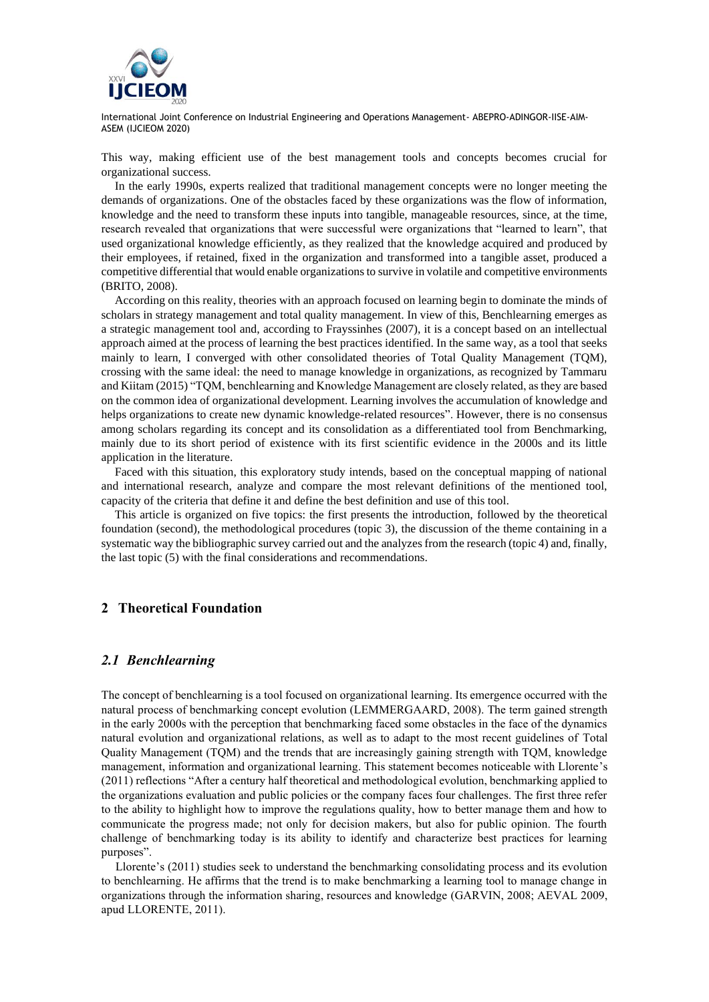

This way, making efficient use of the best management tools and concepts becomes crucial for organizational success.

In the early 1990s, experts realized that traditional management concepts were no longer meeting the demands of organizations. One of the obstacles faced by these organizations was the flow of information, knowledge and the need to transform these inputs into tangible, manageable resources, since, at the time, research revealed that organizations that were successful were organizations that "learned to learn", that used organizational knowledge efficiently, as they realized that the knowledge acquired and produced by their employees, if retained, fixed in the organization and transformed into a tangible asset, produced a competitive differential that would enable organizations to survive in volatile and competitive environments (BRITO, 2008).

According on this reality, theories with an approach focused on learning begin to dominate the minds of scholars in strategy management and total quality management. In view of this, Benchlearning emerges as a strategic management tool and, according to Frayssinhes (2007), it is a concept based on an intellectual approach aimed at the process of learning the best practices identified. In the same way, as a tool that seeks mainly to learn, I converged with other consolidated theories of Total Quality Management (TQM), crossing with the same ideal: the need to manage knowledge in organizations, as recognized by Tammaru and Kiitam (2015) "TQM, benchlearning and Knowledge Management are closely related, as they are based on the common idea of organizational development. Learning involves the accumulation of knowledge and helps organizations to create new dynamic knowledge-related resources". However, there is no consensus among scholars regarding its concept and its consolidation as a differentiated tool from Benchmarking, mainly due to its short period of existence with its first scientific evidence in the 2000s and its little application in the literature.

Faced with this situation, this exploratory study intends, based on the conceptual mapping of national and international research, analyze and compare the most relevant definitions of the mentioned tool, capacity of the criteria that define it and define the best definition and use of this tool.

This article is organized on five topics: the first presents the introduction, followed by the theoretical foundation (second), the methodological procedures (topic 3), the discussion of the theme containing in a systematic way the bibliographic survey carried out and the analyzes from the research (topic 4) and, finally, the last topic (5) with the final considerations and recommendations.

## **2 Theoretical Foundation**

#### *2.1 Benchlearning*

The concept of benchlearning is a tool focused on organizational learning. Its emergence occurred with the natural process of benchmarking concept evolution (LEMMERGAARD, 2008). The term gained strength in the early 2000s with the perception that benchmarking faced some obstacles in the face of the dynamics natural evolution and organizational relations, as well as to adapt to the most recent guidelines of Total Quality Management (TQM) and the trends that are increasingly gaining strength with TQM, knowledge management, information and organizational learning. This statement becomes noticeable with Llorente's (2011) reflections "After a century half theoretical and methodological evolution, benchmarking applied to the organizations evaluation and public policies or the company faces four challenges. The first three refer to the ability to highlight how to improve the regulations quality, how to better manage them and how to communicate the progress made; not only for decision makers, but also for public opinion. The fourth challenge of benchmarking today is its ability to identify and characterize best practices for learning purposes".

Llorente's (2011) studies seek to understand the benchmarking consolidating process and its evolution to benchlearning. He affirms that the trend is to make benchmarking a learning tool to manage change in organizations through the information sharing, resources and knowledge (GARVIN, 2008; AEVAL 2009, apud LLORENTE, 2011).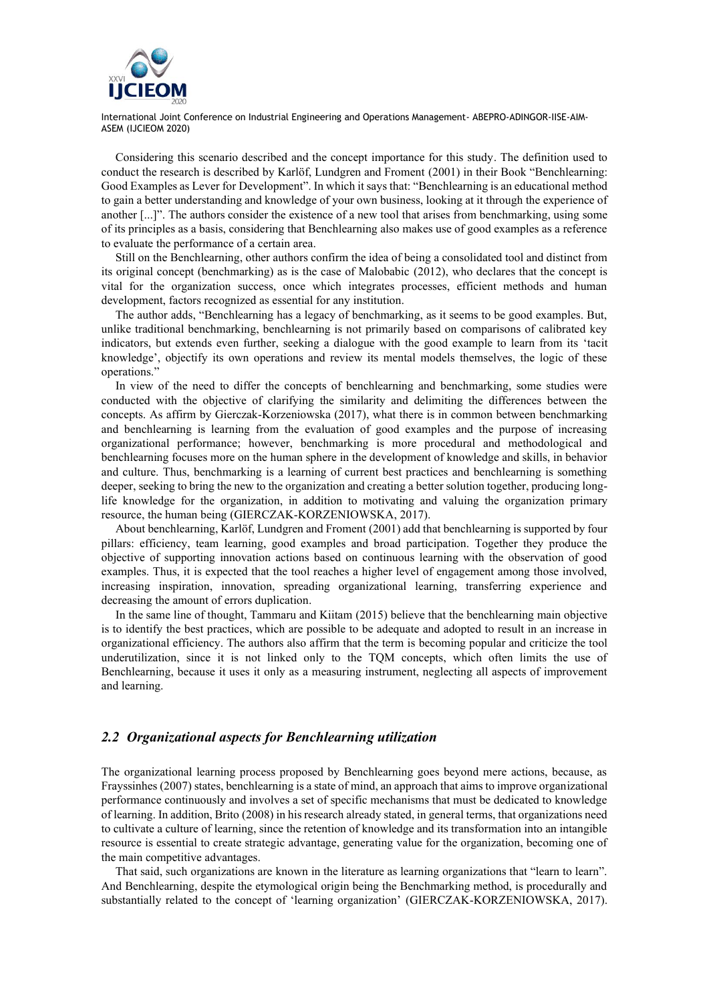

Considering this scenario described and the concept importance for this study. The definition used to conduct the research is described by Karlöf, Lundgren and Froment (2001) in their Book "Benchlearning: Good Examples as Lever for Development". In which it says that: "Benchlearning is an educational method to gain a better understanding and knowledge of your own business, looking at it through the experience of another [...]". The authors consider the existence of a new tool that arises from benchmarking, using some of its principles as a basis, considering that Benchlearning also makes use of good examples as a reference to evaluate the performance of a certain area.

Still on the Benchlearning, other authors confirm the idea of being a consolidated tool and distinct from its original concept (benchmarking) as is the case of Malobabic (2012), who declares that the concept is vital for the organization success, once which integrates processes, efficient methods and human development, factors recognized as essential for any institution.

The author adds, "Benchlearning has a legacy of benchmarking, as it seems to be good examples. But, unlike traditional benchmarking, benchlearning is not primarily based on comparisons of calibrated key indicators, but extends even further, seeking a dialogue with the good example to learn from its 'tacit knowledge', objectify its own operations and review its mental models themselves, the logic of these operations."

In view of the need to differ the concepts of benchlearning and benchmarking, some studies were conducted with the objective of clarifying the similarity and delimiting the differences between the concepts. As affirm by Gierczak-Korzeniowska (2017), what there is in common between benchmarking and benchlearning is learning from the evaluation of good examples and the purpose of increasing organizational performance; however, benchmarking is more procedural and methodological and benchlearning focuses more on the human sphere in the development of knowledge and skills, in behavior and culture. Thus, benchmarking is a learning of current best practices and benchlearning is something deeper, seeking to bring the new to the organization and creating a better solution together, producing longlife knowledge for the organization, in addition to motivating and valuing the organization primary resource, the human being (GIERCZAK-KORZENIOWSKA, 2017).

About benchlearning, Karlöf, Lundgren and Froment (2001) add that benchlearning is supported by four pillars: efficiency, team learning, good examples and broad participation. Together they produce the objective of supporting innovation actions based on continuous learning with the observation of good examples. Thus, it is expected that the tool reaches a higher level of engagement among those involved, increasing inspiration, innovation, spreading organizational learning, transferring experience and decreasing the amount of errors duplication.

In the same line of thought, Tammaru and Kiitam (2015) believe that the benchlearning main objective is to identify the best practices, which are possible to be adequate and adopted to result in an increase in organizational efficiency. The authors also affirm that the term is becoming popular and criticize the tool underutilization, since it is not linked only to the TQM concepts, which often limits the use of Benchlearning, because it uses it only as a measuring instrument, neglecting all aspects of improvement and learning.

### *2.2 Organizational aspects for Benchlearning utilization*

The organizational learning process proposed by Benchlearning goes beyond mere actions, because, as Frayssinhes (2007) states, benchlearning is a state of mind, an approach that aims to improve organizational performance continuously and involves a set of specific mechanisms that must be dedicated to knowledge of learning. In addition, Brito (2008) in his research already stated, in general terms, that organizations need to cultivate a culture of learning, since the retention of knowledge and its transformation into an intangible resource is essential to create strategic advantage, generating value for the organization, becoming one of the main competitive advantages.

That said, such organizations are known in the literature as learning organizations that "learn to learn". And Benchlearning, despite the etymological origin being the Benchmarking method, is procedurally and substantially related to the concept of 'learning organization' (GIERCZAK-KORZENIOWSKA, 2017).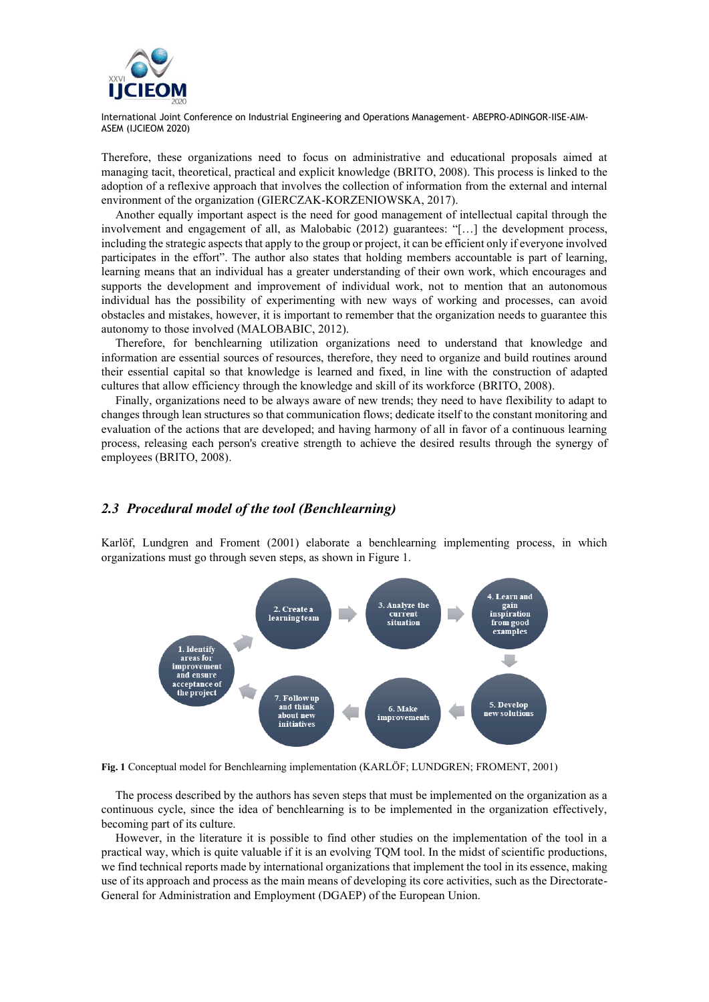

Therefore, these organizations need to focus on administrative and educational proposals aimed at managing tacit, theoretical, practical and explicit knowledge (BRITO, 2008). This process is linked to the adoption of a reflexive approach that involves the collection of information from the external and internal environment of the organization (GIERCZAK-KORZENIOWSKA, 2017).

Another equally important aspect is the need for good management of intellectual capital through the involvement and engagement of all, as Malobabic (2012) guarantees: "[…] the development process, including the strategic aspects that apply to the group or project, it can be efficient only if everyone involved participates in the effort". The author also states that holding members accountable is part of learning, learning means that an individual has a greater understanding of their own work, which encourages and supports the development and improvement of individual work, not to mention that an autonomous individual has the possibility of experimenting with new ways of working and processes, can avoid obstacles and mistakes, however, it is important to remember that the organization needs to guarantee this autonomy to those involved (MALOBABIC, 2012).

Therefore, for benchlearning utilization organizations need to understand that knowledge and information are essential sources of resources, therefore, they need to organize and build routines around their essential capital so that knowledge is learned and fixed, in line with the construction of adapted cultures that allow efficiency through the knowledge and skill of its workforce (BRITO, 2008).

Finally, organizations need to be always aware of new trends; they need to have flexibility to adapt to changes through lean structures so that communication flows; dedicate itself to the constant monitoring and evaluation of the actions that are developed; and having harmony of all in favor of a continuous learning process, releasing each person's creative strength to achieve the desired results through the synergy of employees (BRITO, 2008).

#### *2.3 Procedural model of the tool (Benchlearning)*

Karlöf, Lundgren and Froment (2001) elaborate a benchlearning implementing process, in which organizations must go through seven steps, as shown in Figure 1.



**Fig. 1** Conceptual model for Benchlearning implementation (KARLÖF; LUNDGREN; FROMENT, 2001)

The process described by the authors has seven steps that must be implemented on the organization as a continuous cycle, since the idea of benchlearning is to be implemented in the organization effectively, becoming part of its culture.

However, in the literature it is possible to find other studies on the implementation of the tool in a practical way, which is quite valuable if it is an evolving TQM tool. In the midst of scientific productions, we find technical reports made by international organizations that implement the tool in its essence, making use of its approach and process as the main means of developing its core activities, such as the Directorate-General for Administration and Employment (DGAEP) of the European Union.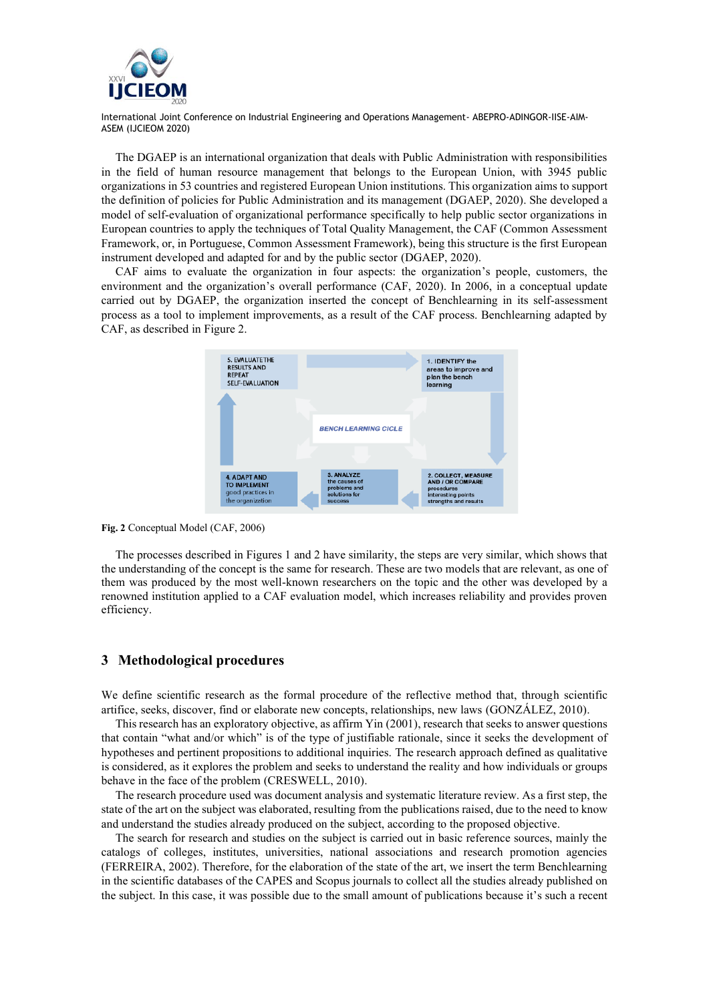

The DGAEP is an international organization that deals with Public Administration with responsibilities in the field of human resource management that belongs to the European Union, with 3945 public organizations in 53 countries and registered European Union institutions. This organization aims to support the definition of policies for Public Administration and its management (DGAEP, 2020). She developed a model of self-evaluation of organizational performance specifically to help public sector organizations in European countries to apply the techniques of Total Quality Management, the CAF (Common Assessment Framework, or, in Portuguese, Common Assessment Framework), being this structure is the first European instrument developed and adapted for and by the public sector (DGAEP, 2020).

CAF aims to evaluate the organization in four aspects: the organization's people, customers, the environment and the organization's overall performance (CAF, 2020). In 2006, in a conceptual update carried out by DGAEP, the organization inserted the concept of Benchlearning in its self-assessment process as a tool to implement improvements, as a result of the CAF process. Benchlearning adapted by CAF, as described in Figure 2.



**Fig. 2** Conceptual Model (CAF, 2006)

The processes described in Figures 1 and 2 have similarity, the steps are very similar, which shows that the understanding of the concept is the same for research. These are two models that are relevant, as one of them was produced by the most well-known researchers on the topic and the other was developed by a renowned institution applied to a CAF evaluation model, which increases reliability and provides proven efficiency.

#### **3 Methodological procedures**

We define scientific research as the formal procedure of the reflective method that, through scientific artifice, seeks, discover, find or elaborate new concepts, relationships, new laws (GONZÁLEZ, 2010).

This research has an exploratory objective, as affirm Yin (2001), research that seeks to answer questions that contain "what and/or which" is of the type of justifiable rationale, since it seeks the development of hypotheses and pertinent propositions to additional inquiries. The research approach defined as qualitative is considered, as it explores the problem and seeks to understand the reality and how individuals or groups behave in the face of the problem (CRESWELL, 2010).

The research procedure used was document analysis and systematic literature review. As a first step, the state of the art on the subject was elaborated, resulting from the publications raised, due to the need to know and understand the studies already produced on the subject, according to the proposed objective.

The search for research and studies on the subject is carried out in basic reference sources, mainly the catalogs of colleges, institutes, universities, national associations and research promotion agencies (FERREIRA, 2002). Therefore, for the elaboration of the state of the art, we insert the term Benchlearning in the scientific databases of the CAPES and Scopus journals to collect all the studies already published on the subject. In this case, it was possible due to the small amount of publications because it's such a recent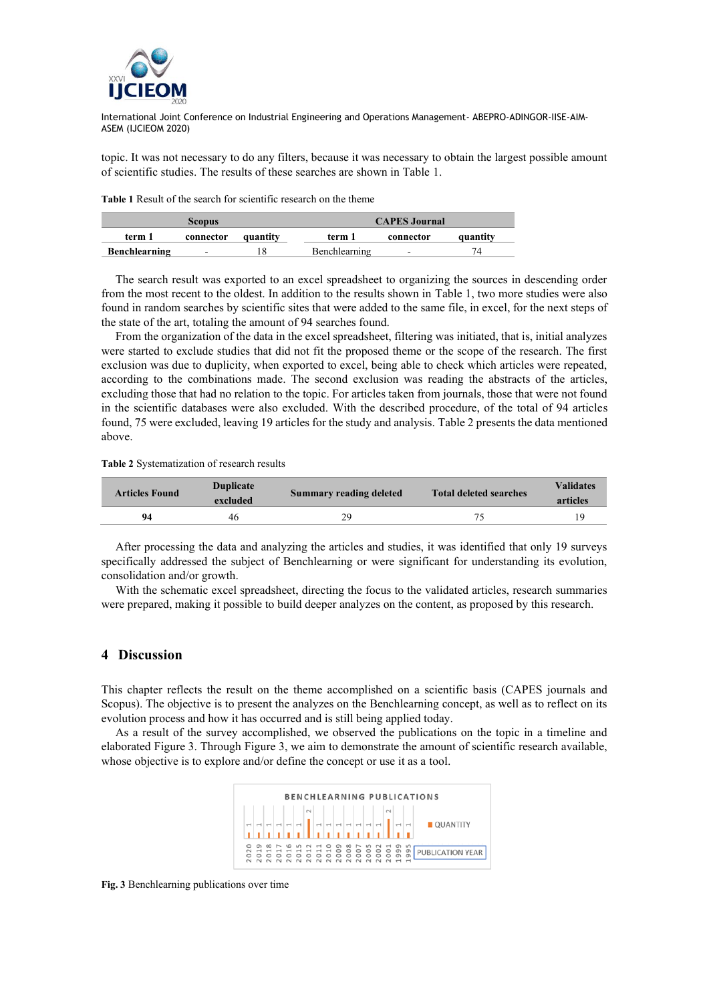

topic. It was not necessary to do any filters, because it was necessary to obtain the largest possible amount of scientific studies. The results of these searches are shown in Table 1.

**Table 1** Result of the search for scientific research on the theme

|                      | <b>Scopus</b>            |          |               | <b>CAPES Journal</b>     |          |  |  |  |
|----------------------|--------------------------|----------|---------------|--------------------------|----------|--|--|--|
| term 1               | connector                | quantity | term 1        | connector                | quantity |  |  |  |
| <b>Benchlearning</b> | $\overline{\phantom{0}}$ |          | Benchlearning | $\overline{\phantom{0}}$ | 74       |  |  |  |

The search result was exported to an excel spreadsheet to organizing the sources in descending order from the most recent to the oldest. In addition to the results shown in Table 1, two more studies were also found in random searches by scientific sites that were added to the same file, in excel, for the next steps of the state of the art, totaling the amount of 94 searches found.

From the organization of the data in the excel spreadsheet, filtering was initiated, that is, initial analyzes were started to exclude studies that did not fit the proposed theme or the scope of the research. The first exclusion was due to duplicity, when exported to excel, being able to check which articles were repeated, according to the combinations made. The second exclusion was reading the abstracts of the articles, excluding those that had no relation to the topic. For articles taken from journals, those that were not found in the scientific databases were also excluded. With the described procedure, of the total of 94 articles found, 75 were excluded, leaving 19 articles for the study and analysis. Table 2 presents the data mentioned above.

**Table 2** Systematization of research results

| <b>Articles Found</b> | <b>Duplicate</b><br>excluded | <b>Summary reading deleted</b> | <b>Total deleted searches</b> | <b>Validates</b><br>articles |  |
|-----------------------|------------------------------|--------------------------------|-------------------------------|------------------------------|--|
| 94                    | 46                           | 29                             |                               |                              |  |

After processing the data and analyzing the articles and studies, it was identified that only 19 surveys specifically addressed the subject of Benchlearning or were significant for understanding its evolution, consolidation and/or growth.

With the schematic excel spreadsheet, directing the focus to the validated articles, research summaries were prepared, making it possible to build deeper analyzes on the content, as proposed by this research.

#### **4 Discussion**

This chapter reflects the result on the theme accomplished on a scientific basis (CAPES journals and Scopus). The objective is to present the analyzes on the Benchlearning concept, as well as to reflect on its evolution process and how it has occurred and is still being applied today.

As a result of the survey accomplished, we observed the publications on the topic in a timeline and elaborated Figure 3. Through Figure 3, we aim to demonstrate the amount of scientific research available, whose objective is to explore and/or define the concept or use it as a tool.

|   |          |   |   |         |                                                                                                                                                                                                                                                                  |        |                     |         |              |   |   |         | <b>BENCHLEARNING PUBLICATIONS</b>            |
|---|----------|---|---|---------|------------------------------------------------------------------------------------------------------------------------------------------------------------------------------------------------------------------------------------------------------------------|--------|---------------------|---------|--------------|---|---|---------|----------------------------------------------|
|   |          |   |   | $\sim$  | $\begin{bmatrix} 0 \\ 0 \\ 1 \\ 0 \end{bmatrix} \begin{bmatrix} 0 \\ 0 \\ 1 \\ 0 \\ 1 \end{bmatrix} \begin{bmatrix} 0 \\ 0 \\ 0 \\ 1 \\ 1 \end{bmatrix} \begin{bmatrix} 0 \\ 0 \\ 0 \\ 1 \\ 1 \end{bmatrix} \begin{bmatrix} 0 \\ 0 \\ 0 \\ 1 \\ 1 \end{bmatrix}$ |        |                     |         |              |   |   |         | $  \cdot  $ $   \cdot   $ $  $ $  $ QUANTITY |
| G | $\infty$ | 0 | 0 | $\circ$ |                                                                                                                                                                                                                                                                  | G<br>o | $\infty$<br>$\circ$ | $\circ$ | S<br>$\circ$ | o | c | LO<br>G | PUBLICATION YEAR                             |

**Fig. 3** Benchlearning publications over time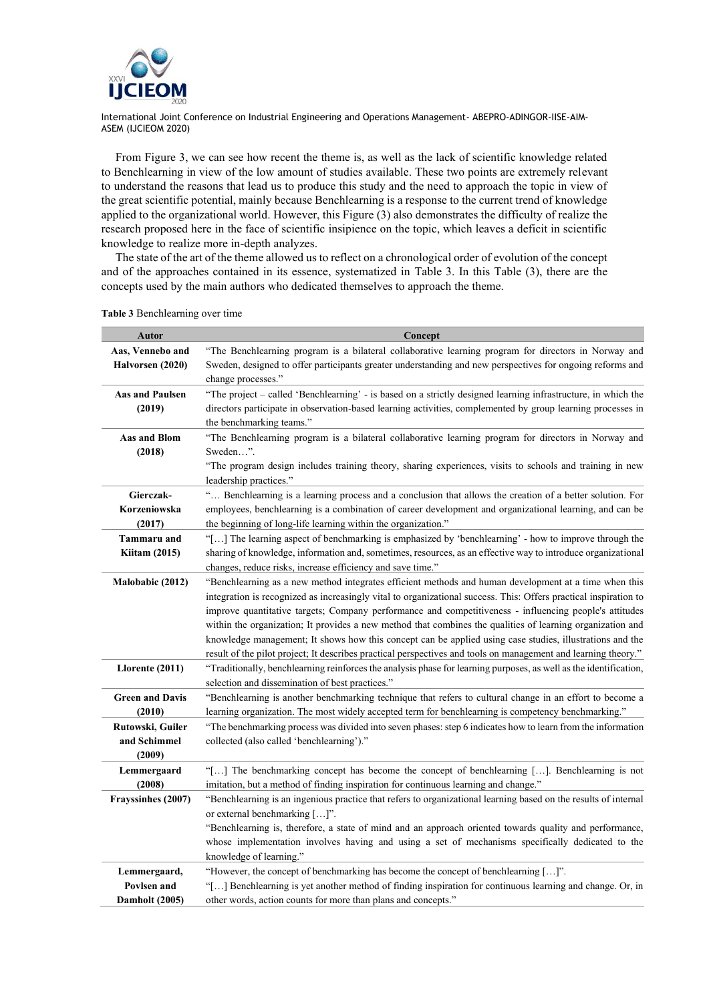

From Figure 3, we can see how recent the theme is, as well as the lack of scientific knowledge related to Benchlearning in view of the low amount of studies available. These two points are extremely relevant to understand the reasons that lead us to produce this study and the need to approach the topic in view of the great scientific potential, mainly because Benchlearning is a response to the current trend of knowledge applied to the organizational world. However, this Figure (3) also demonstrates the difficulty of realize the research proposed here in the face of scientific insipience on the topic, which leaves a deficit in scientific knowledge to realize more in-depth analyzes.

The state of the art of the theme allowed us to reflect on a chronological order of evolution of the concept and of the approaches contained in its essence, systematized in Table 3. In this Table (3), there are the concepts used by the main authors who dedicated themselves to approach the theme.

| <b>Autor</b>                | Concept                                                                                                                                                                                                                    |
|-----------------------------|----------------------------------------------------------------------------------------------------------------------------------------------------------------------------------------------------------------------------|
| Aas, Vennebo and            | "The Benchlearning program is a bilateral collaborative learning program for directors in Norway and                                                                                                                       |
| Halvorsen (2020)            | Sweden, designed to offer participants greater understanding and new perspectives for ongoing reforms and<br>change processes."                                                                                            |
| <b>Aas and Paulsen</b>      | "The project – called 'Benchlearning' - is based on a strictly designed learning infrastructure, in which the                                                                                                              |
| (2019)                      | directors participate in observation-based learning activities, complemented by group learning processes in<br>the benchmarking teams."                                                                                    |
| <b>Aas and Blom</b>         | "The Benchlearning program is a bilateral collaborative learning program for directors in Norway and                                                                                                                       |
| (2018)                      | Sweden".                                                                                                                                                                                                                   |
|                             | "The program design includes training theory, sharing experiences, visits to schools and training in new<br>leadership practices."                                                                                         |
| Gierczak-                   | " Benchlearning is a learning process and a conclusion that allows the creation of a better solution. For                                                                                                                  |
| Korzeniowska                | employees, benchlearning is a combination of career development and organizational learning, and can be                                                                                                                    |
| (2017)                      | the beginning of long-life learning within the organization."                                                                                                                                                              |
| <b>Tammaru</b> and          | "[] The learning aspect of benchmarking is emphasized by 'benchlearning' - how to improve through the                                                                                                                      |
| <b>Kiitam (2015)</b>        | sharing of knowledge, information and, sometimes, resources, as an effective way to introduce organizational                                                                                                               |
|                             | changes, reduce risks, increase efficiency and save time."                                                                                                                                                                 |
| Malobabic (2012)            | "Benchlearning as a new method integrates efficient methods and human development at a time when this                                                                                                                      |
|                             | integration is recognized as increasingly vital to organizational success. This: Offers practical inspiration to<br>improve quantitative targets; Company performance and competitiveness - influencing people's attitudes |
|                             | within the organization; It provides a new method that combines the qualities of learning organization and                                                                                                                 |
|                             | knowledge management; It shows how this concept can be applied using case studies, illustrations and the                                                                                                                   |
|                             | result of the pilot project; It describes practical perspectives and tools on management and learning theory."                                                                                                             |
| Llorente (2011)             | "Traditionally, benchlearning reinforces the analysis phase for learning purposes, as well as the identification,                                                                                                          |
|                             | selection and dissemination of best practices."                                                                                                                                                                            |
| <b>Green and Davis</b>      | "Benchlearning is another benchmarking technique that refers to cultural change in an effort to become a                                                                                                                   |
| (2010)                      | learning organization. The most widely accepted term for benchlearning is competency benchmarking."                                                                                                                        |
| Rutowski, Guiler            | "The benchmarking process was divided into seven phases: step 6 indicates how to learn from the information                                                                                                                |
| and Schimmel                | collected (also called 'benchlearning')."                                                                                                                                                                                  |
| (2009)                      |                                                                                                                                                                                                                            |
| Lemmergaard                 | "[] The benchmarking concept has become the concept of benchlearning []. Benchlearning is not                                                                                                                              |
| (2008)                      | imitation, but a method of finding inspiration for continuous learning and change."                                                                                                                                        |
| Frayssinhes (2007)          | "Benchlearning is an ingenious practice that refers to organizational learning based on the results of internal                                                                                                            |
|                             | or external benchmarking []".                                                                                                                                                                                              |
|                             | "Benchlearning is, therefore, a state of mind and an approach oriented towards quality and performance,                                                                                                                    |
|                             | whose implementation involves having and using a set of mechanisms specifically dedicated to the                                                                                                                           |
|                             | knowledge of learning."                                                                                                                                                                                                    |
| Lemmergaard,<br>Povlsen and | "However, the concept of benchmarking has become the concept of benchlearning []".<br>"[] Benchlearning is yet another method of finding inspiration for continuous learning and change. Or, in                            |
| Damholt (2005)              | other words, action counts for more than plans and concepts."                                                                                                                                                              |
|                             |                                                                                                                                                                                                                            |

**Table 3** Benchlearning over time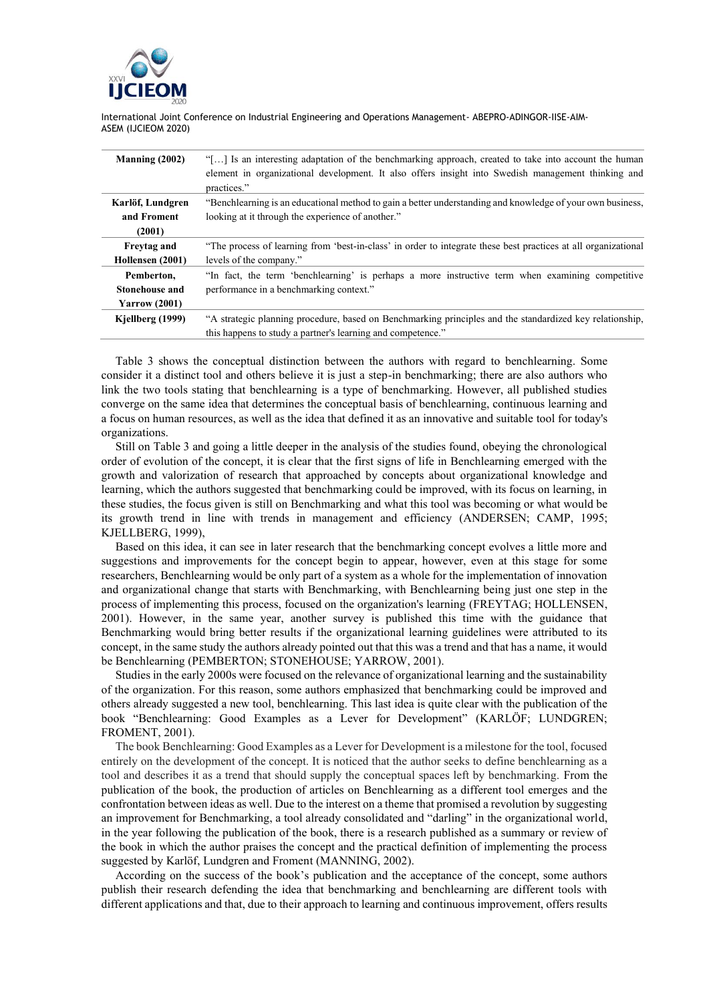

| Manning $(2002)$      | "[] Is an interesting adaptation of the benchmarking approach, created to take into account the human          |
|-----------------------|----------------------------------------------------------------------------------------------------------------|
|                       | element in organizational development. It also offers insight into Swedish management thinking and             |
|                       | practices."                                                                                                    |
| Karlöf, Lundgren      | "Benchlearning is an educational method to gain a better understanding and knowledge of your own business,     |
| and Froment           | looking at it through the experience of another."                                                              |
| (2001)                |                                                                                                                |
| <b>Freytag and</b>    | "The process of learning from 'best-in-class' in order to integrate these best practices at all organizational |
| Hollensen (2001)      | levels of the company."                                                                                        |
| Pemberton,            | "In fact, the term 'benchlearning' is perhaps a more instructive term when examining competitive               |
| <b>Stonehouse and</b> | performance in a benchmarking context."                                                                        |
| <b>Yarrow</b> (2001)  |                                                                                                                |
| Kjellberg (1999)      | "A strategic planning procedure, based on Benchmarking principles and the standardized key relationship,       |
|                       | this happens to study a partner's learning and competence."                                                    |

Table 3 shows the conceptual distinction between the authors with regard to benchlearning. Some consider it a distinct tool and others believe it is just a step-in benchmarking; there are also authors who link the two tools stating that benchlearning is a type of benchmarking. However, all published studies converge on the same idea that determines the conceptual basis of benchlearning, continuous learning and a focus on human resources, as well as the idea that defined it as an innovative and suitable tool for today's organizations.

Still on Table 3 and going a little deeper in the analysis of the studies found, obeying the chronological order of evolution of the concept, it is clear that the first signs of life in Benchlearning emerged with the growth and valorization of research that approached by concepts about organizational knowledge and learning, which the authors suggested that benchmarking could be improved, with its focus on learning, in these studies, the focus given is still on Benchmarking and what this tool was becoming or what would be its growth trend in line with trends in management and efficiency (ANDERSEN; CAMP, 1995; KJELLBERG, 1999),

Based on this idea, it can see in later research that the benchmarking concept evolves a little more and suggestions and improvements for the concept begin to appear, however, even at this stage for some researchers, Benchlearning would be only part of a system as a whole for the implementation of innovation and organizational change that starts with Benchmarking, with Benchlearning being just one step in the process of implementing this process, focused on the organization's learning (FREYTAG; HOLLENSEN, 2001). However, in the same year, another survey is published this time with the guidance that Benchmarking would bring better results if the organizational learning guidelines were attributed to its concept, in the same study the authors already pointed out that this was a trend and that has a name, it would be Benchlearning (PEMBERTON; STONEHOUSE; YARROW, 2001).

Studies in the early 2000s were focused on the relevance of organizational learning and the sustainability of the organization. For this reason, some authors emphasized that benchmarking could be improved and others already suggested a new tool, benchlearning. This last idea is quite clear with the publication of the book "Benchlearning: Good Examples as a Lever for Development" (KARLÖF; LUNDGREN; FROMENT, 2001).

The book Benchlearning: Good Examples as a Lever for Development is a milestone for the tool, focused entirely on the development of the concept. It is noticed that the author seeks to define benchlearning as a tool and describes it as a trend that should supply the conceptual spaces left by benchmarking. From the publication of the book, the production of articles on Benchlearning as a different tool emerges and the confrontation between ideas as well. Due to the interest on a theme that promised a revolution by suggesting an improvement for Benchmarking, a tool already consolidated and "darling" in the organizational world, in the year following the publication of the book, there is a research published as a summary or review of the book in which the author praises the concept and the practical definition of implementing the process suggested by Karlöf, Lundgren and Froment (MANNING, 2002).

According on the success of the book's publication and the acceptance of the concept, some authors publish their research defending the idea that benchmarking and benchlearning are different tools with different applications and that, due to their approach to learning and continuous improvement, offers results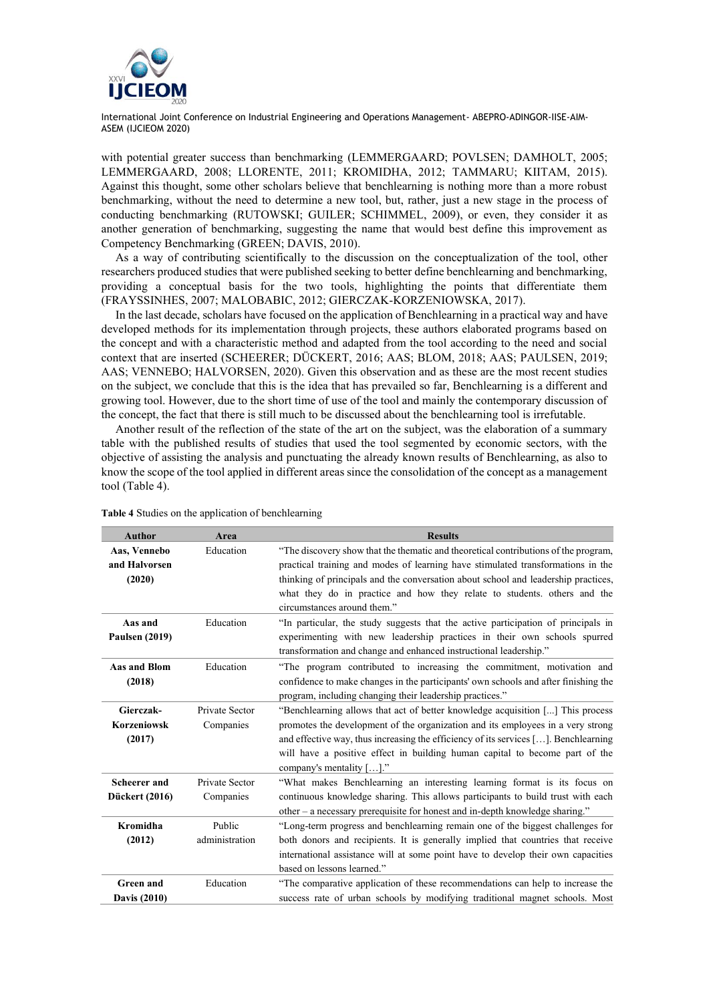

with potential greater success than benchmarking (LEMMERGAARD; POVLSEN; DAMHOLT, 2005; LEMMERGAARD, 2008; LLORENTE, 2011; KROMIDHA, 2012; TAMMARU; KIITAM, 2015). Against this thought, some other scholars believe that benchlearning is nothing more than a more robust benchmarking, without the need to determine a new tool, but, rather, just a new stage in the process of conducting benchmarking (RUTOWSKI; GUILER; SCHIMMEL, 2009), or even, they consider it as another generation of benchmarking, suggesting the name that would best define this improvement as Competency Benchmarking (GREEN; DAVIS, 2010).

As a way of contributing scientifically to the discussion on the conceptualization of the tool, other researchers produced studies that were published seeking to better define benchlearning and benchmarking, providing a conceptual basis for the two tools, highlighting the points that differentiate them (FRAYSSINHES, 2007; MALOBABIC, 2012; GIERCZAK-KORZENIOWSKA, 2017).

In the last decade, scholars have focused on the application of Benchlearning in a practical way and have developed methods for its implementation through projects, these authors elaborated programs based on the concept and with a characteristic method and adapted from the tool according to the need and social context that are inserted (SCHEERER; DÜCKERT, 2016; AAS; BLOM, 2018; AAS; PAULSEN, 2019; AAS; VENNEBO; HALVORSEN, 2020). Given this observation and as these are the most recent studies on the subject, we conclude that this is the idea that has prevailed so far, Benchlearning is a different and growing tool. However, due to the short time of use of the tool and mainly the contemporary discussion of the concept, the fact that there is still much to be discussed about the benchlearning tool is irrefutable.

Another result of the reflection of the state of the art on the subject, was the elaboration of a summary table with the published results of studies that used the tool segmented by economic sectors, with the objective of assisting the analysis and punctuating the already known results of Benchlearning, as also to know the scope of the tool applied in different areas since the consolidation of the concept as a management tool (Table 4).

| <b>Author</b>                             | Area                        | <b>Results</b>                                                                                                                                                                                                                                                                                                                                                                       |
|-------------------------------------------|-----------------------------|--------------------------------------------------------------------------------------------------------------------------------------------------------------------------------------------------------------------------------------------------------------------------------------------------------------------------------------------------------------------------------------|
| Aas, Vennebo<br>and Halvorsen<br>(2020)   | Education                   | "The discovery show that the thematic and theoretical contributions of the program,<br>practical training and modes of learning have stimulated transformations in the<br>thinking of principals and the conversation about school and leadership practices,<br>what they do in practice and how they relate to students, others and the<br>circumstances around them."              |
| Aas and<br><b>Paulsen (2019)</b>          | Education                   | "In particular, the study suggests that the active participation of principals in<br>experimenting with new leadership practices in their own schools spurred<br>transformation and change and enhanced instructional leadership."                                                                                                                                                   |
| Aas and Blom<br>(2018)                    | Education                   | "The program contributed to increasing the commitment, motivation and<br>confidence to make changes in the participants' own schools and after finishing the<br>program, including changing their leadership practices."                                                                                                                                                             |
| Gierczak-<br><b>Korzeniowsk</b><br>(2017) | Private Sector<br>Companies | "Benchlearning allows that act of better knowledge acquisition [] This process<br>promotes the development of the organization and its employees in a very strong<br>and effective way, thus increasing the efficiency of its services $[\ldots]$ . Benchlearning<br>will have a positive effect in building human capital to become part of the<br>company's mentality $[\dots]$ ." |
| Scheerer and<br>Dückert (2016)            | Private Sector<br>Companies | "What makes Benchlearning an interesting learning format is its focus on<br>continuous knowledge sharing. This allows participants to build trust with each<br>other – a necessary prerequisite for honest and in-depth knowledge sharing."                                                                                                                                          |
| Kromidha<br>(2012)                        | Public<br>administration    | "Long-term progress and benchlearning remain one of the biggest challenges for<br>both donors and recipients. It is generally implied that countries that receive<br>international assistance will at some point have to develop their own capacities<br>based on lessons learned."                                                                                                  |
| <b>Green</b> and<br><b>Davis (2010)</b>   | Education                   | "The comparative application of these recommendations can help to increase the<br>success rate of urban schools by modifying traditional magnet schools. Most                                                                                                                                                                                                                        |

**Table 4** Studies on the application of benchlearning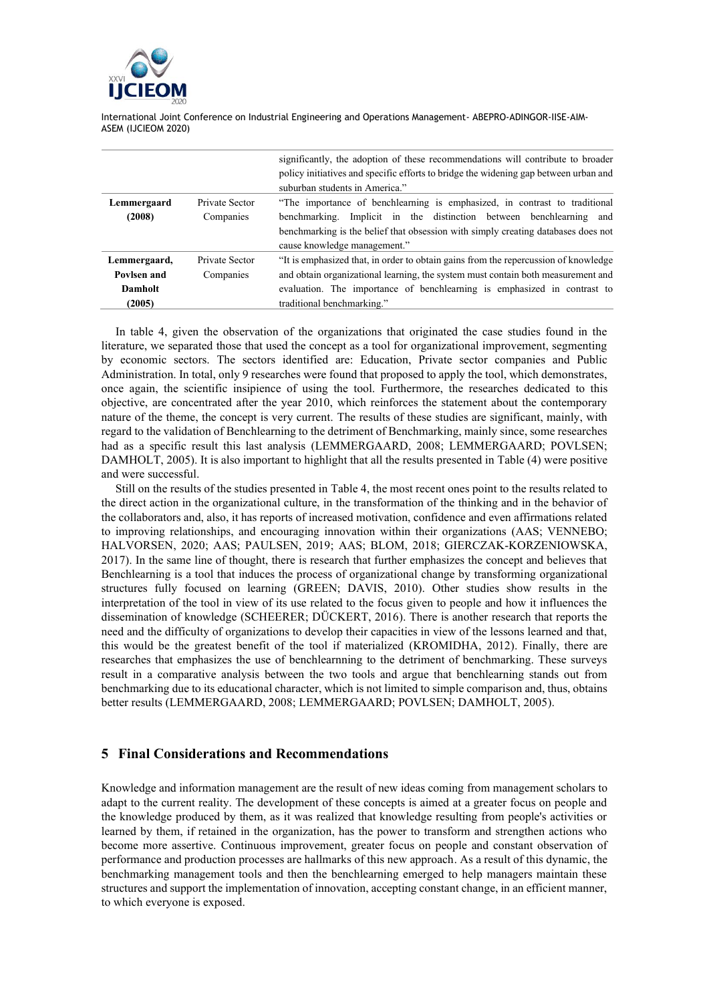

|              |                | significantly, the adoption of these recommendations will contribute to broader      |
|--------------|----------------|--------------------------------------------------------------------------------------|
|              |                | policy initiatives and specific efforts to bridge the widening gap between urban and |
|              |                | suburban students in America."                                                       |
| Lemmergaard  | Private Sector | "The importance of benchlearning is emphasized, in contrast to traditional           |
| (2008)       | Companies      | benchmarking. Implicit in the distinction between benchlearning and                  |
|              |                | benchmarking is the belief that obsession with simply creating databases does not    |
|              |                | cause knowledge management."                                                         |
| Lemmergaard, | Private Sector | "It is emphasized that, in order to obtain gains from the repercussion of knowledge  |
| Povlsen and  | Companies      | and obtain organizational learning, the system must contain both measurement and     |
| Damholt      |                | evaluation. The importance of benchlearning is emphasized in contrast to             |
| (2005)       |                | traditional benchmarking."                                                           |

In table 4, given the observation of the organizations that originated the case studies found in the literature, we separated those that used the concept as a tool for organizational improvement, segmenting by economic sectors. The sectors identified are: Education, Private sector companies and Public Administration. In total, only 9 researches were found that proposed to apply the tool, which demonstrates, once again, the scientific insipience of using the tool. Furthermore, the researches dedicated to this objective, are concentrated after the year 2010, which reinforces the statement about the contemporary nature of the theme, the concept is very current. The results of these studies are significant, mainly, with regard to the validation of Benchlearning to the detriment of Benchmarking, mainly since, some researches had as a specific result this last analysis (LEMMERGAARD, 2008; LEMMERGAARD; POVLSEN; DAMHOLT, 2005). It is also important to highlight that all the results presented in Table (4) were positive and were successful.

Still on the results of the studies presented in Table 4, the most recent ones point to the results related to the direct action in the organizational culture, in the transformation of the thinking and in the behavior of the collaborators and, also, it has reports of increased motivation, confidence and even affirmations related to improving relationships, and encouraging innovation within their organizations (AAS; VENNEBO; HALVORSEN, 2020; AAS; PAULSEN, 2019; AAS; BLOM, 2018; GIERCZAK-KORZENIOWSKA, 2017). In the same line of thought, there is research that further emphasizes the concept and believes that Benchlearning is a tool that induces the process of organizational change by transforming organizational structures fully focused on learning (GREEN; DAVIS, 2010). Other studies show results in the interpretation of the tool in view of its use related to the focus given to people and how it influences the dissemination of knowledge (SCHEERER; DÜCKERT, 2016). There is another research that reports the need and the difficulty of organizations to develop their capacities in view of the lessons learned and that, this would be the greatest benefit of the tool if materialized (KROMIDHA, 2012). Finally, there are researches that emphasizes the use of benchlearnning to the detriment of benchmarking. These surveys result in a comparative analysis between the two tools and argue that benchlearning stands out from benchmarking due to its educational character, which is not limited to simple comparison and, thus, obtains better results (LEMMERGAARD, 2008; LEMMERGAARD; POVLSEN; DAMHOLT, 2005).

### **5 Final Considerations and Recommendations**

Knowledge and information management are the result of new ideas coming from management scholars to adapt to the current reality. The development of these concepts is aimed at a greater focus on people and the knowledge produced by them, as it was realized that knowledge resulting from people's activities or learned by them, if retained in the organization, has the power to transform and strengthen actions who become more assertive. Continuous improvement, greater focus on people and constant observation of performance and production processes are hallmarks of this new approach. As a result of this dynamic, the benchmarking management tools and then the benchlearning emerged to help managers maintain these structures and support the implementation of innovation, accepting constant change, in an efficient manner, to which everyone is exposed.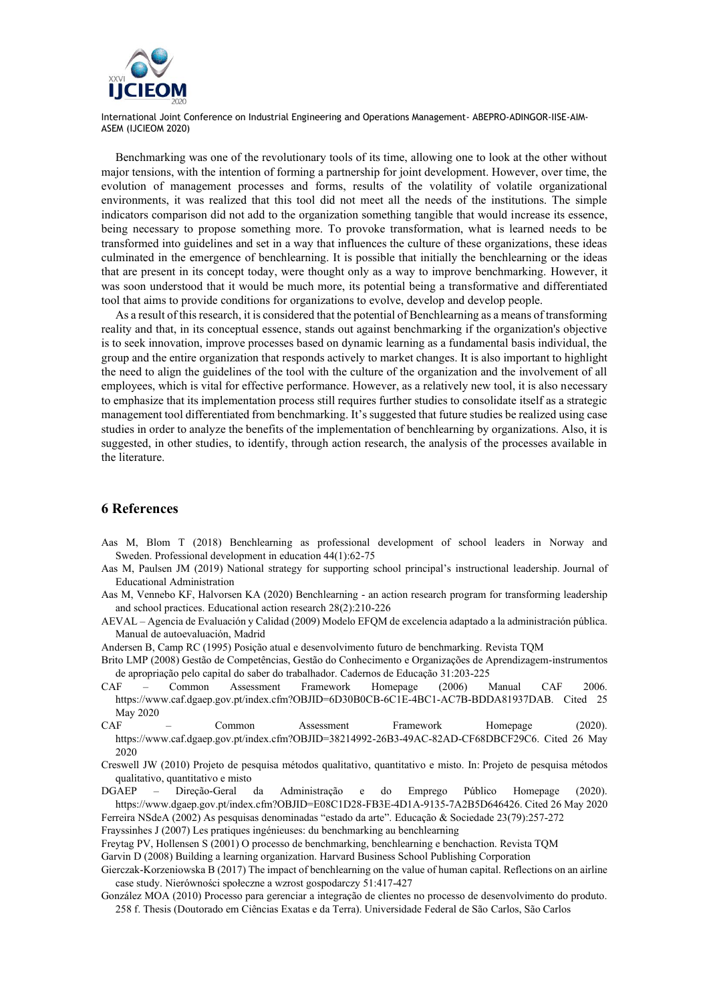

Benchmarking was one of the revolutionary tools of its time, allowing one to look at the other without major tensions, with the intention of forming a partnership for joint development. However, over time, the evolution of management processes and forms, results of the volatility of volatile organizational environments, it was realized that this tool did not meet all the needs of the institutions. The simple indicators comparison did not add to the organization something tangible that would increase its essence, being necessary to propose something more. To provoke transformation, what is learned needs to be transformed into guidelines and set in a way that influences the culture of these organizations, these ideas culminated in the emergence of benchlearning. It is possible that initially the benchlearning or the ideas that are present in its concept today, were thought only as a way to improve benchmarking. However, it was soon understood that it would be much more, its potential being a transformative and differentiated tool that aims to provide conditions for organizations to evolve, develop and develop people.

As a result of this research, it is considered that the potential of Benchlearning as a means of transforming reality and that, in its conceptual essence, stands out against benchmarking if the organization's objective is to seek innovation, improve processes based on dynamic learning as a fundamental basis individual, the group and the entire organization that responds actively to market changes. It is also important to highlight the need to align the guidelines of the tool with the culture of the organization and the involvement of all employees, which is vital for effective performance. However, as a relatively new tool, it is also necessary to emphasize that its implementation process still requires further studies to consolidate itself as a strategic management tool differentiated from benchmarking. It's suggested that future studies be realized using case studies in order to analyze the benefits of the implementation of benchlearning by organizations. Also, it is suggested, in other studies, to identify, through action research, the analysis of the processes available in the literature.

#### **6 References**

- Aas M, Blom T (2018) Benchlearning as professional development of school leaders in Norway and Sweden. Professional development in education 44(1):62-75
- Aas M, Paulsen JM (2019) National strategy for supporting school principal's instructional leadership. Journal of Educational Administration
- Aas M, Vennebo KF, Halvorsen KA (2020) Benchlearning an action research program for transforming leadership and school practices. Educational action research 28(2):210-226
- AEVAL Agencia de Evaluación y Calidad (2009) Modelo EFQM de excelencia adaptado a la administración pública. Manual de autoevaluación, Madrid
- Andersen B, Camp RC (1995) Posição atual e desenvolvimento futuro de benchmarking. Revista TQM
- Brito LMP (2008) Gestão de Competências, Gestão do Conhecimento e Organizações de Aprendizagem-instrumentos de apropriação pelo capital do saber do trabalhador. Cadernos de Educação 31:203-225
- CAF Common Assessment Framework Homepage (2006) Manual CAF 2006. https://www.caf.dgaep.gov.pt/index.cfm?OBJID=6D30B0CB-6C1E-4BC1-AC7B-BDDA81937DAB. Cited 25 May 2020
- CAF Common Assessment Framework Homepage (2020). https://www.caf.dgaep.gov.pt/index.cfm?OBJID=38214992-26B3-49AC-82AD-CF68DBCF29C6. Cited 26 May 2020
- Creswell JW (2010) Projeto de pesquisa métodos qualitativo, quantitativo e misto. In: Projeto de pesquisa métodos qualitativo, quantitativo e misto
- DGAEP Direção-Geral da Administração e do Emprego Público Homepage (2020). https://www.dgaep.gov.pt/index.cfm?OBJID=E08C1D28-FB3E-4D1A-9135-7A2B5D646426. Cited 26 May 2020 Ferreira NSdeA (2002) As pesquisas denominadas "estado da arte". Educação & Sociedade 23(79):257-272

Frayssinhes J (2007) Les pratiques ingénieuses: du benchmarking au benchlearning

Freytag PV, Hollensen S (2001) O processo de benchmarking, benchlearning e benchaction. Revista TQM

Garvin D (2008) Building a learning organization. Harvard Business School Publishing Corporation

Gierczak-Korzeniowska B (2017) The impact of benchlearning on the value of human capital. Reflections on an airline case study. Nierówności społeczne a wzrost gospodarczy 51:417-427

González MOA (2010) Processo para gerenciar a integração de clientes no processo de desenvolvimento do produto. 258 f. Thesis (Doutorado em Ciências Exatas e da Terra). Universidade Federal de São Carlos, São Carlos